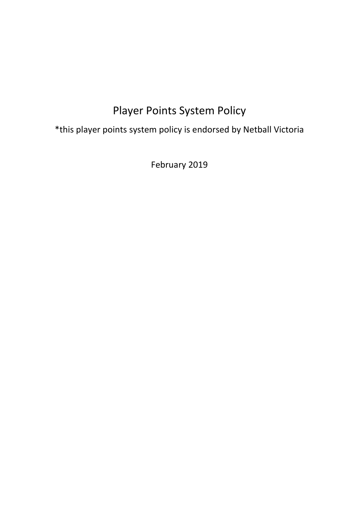# Player Points System Policy

\*this player points system policy is endorsed by Netball Victoria

February 2019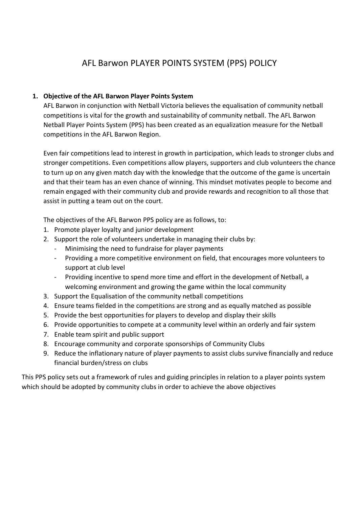## AFL Barwon PLAYER POINTS SYSTEM (PPS) POLICY

### **1. Objective of the AFL Barwon Player Points System**

AFL Barwon in conjunction with Netball Victoria believes the equalisation of community netball competitions is vital for the growth and sustainability of community netball. The AFL Barwon Netball Player Points System (PPS) has been created as an equalization measure for the Netball competitions in the AFL Barwon Region.

Even fair competitions lead to interest in growth in participation, which leads to stronger clubs and stronger competitions. Even competitions allow players, supporters and club volunteers the chance to turn up on any given match day with the knowledge that the outcome of the game is uncertain and that their team has an even chance of winning. This mindset motivates people to become and remain engaged with their community club and provide rewards and recognition to all those that assist in putting a team out on the court.

The objectives of the AFL Barwon PPS policy are as follows, to:

- 1. Promote player loyalty and junior development
- 2. Support the role of volunteers undertake in managing their clubs by:
	- Minimising the need to fundraise for player payments
	- Providing a more competitive environment on field, that encourages more volunteers to support at club level
	- Providing incentive to spend more time and effort in the development of Netball, a welcoming environment and growing the game within the local community
- 3. Support the Equalisation of the community netball competitions
- 4. Ensure teams fielded in the competitions are strong and as equally matched as possible
- 5. Provide the best opportunities for players to develop and display their skills
- 6. Provide opportunities to compete at a community level within an orderly and fair system
- 7. Enable team spirit and public support
- 8. Encourage community and corporate sponsorships of Community Clubs
- 9. Reduce the inflationary nature of player payments to assist clubs survive financially and reduce financial burden/stress on clubs

This PPS policy sets out a framework of rules and guiding principles in relation to a player points system which should be adopted by community clubs in order to achieve the above objectives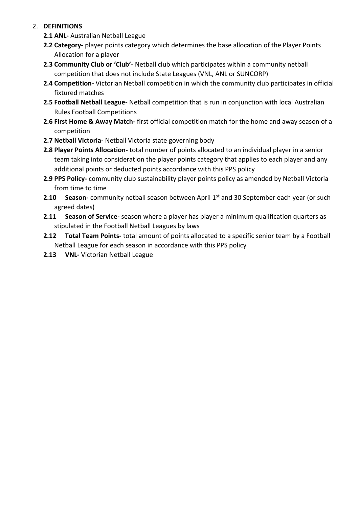#### 2. **DEFINITIONS**

- **2.1 ANL-** Australian Netball League
- **2.2 Category-** player points category which determines the base allocation of the Player Points Allocation for a player
- **2.3 Community Club or 'Club'-** Netball club which participates within a community netball competition that does not include State Leagues (VNL, ANL or SUNCORP)
- **2.4 Competition-** Victorian Netball competition in which the community club participates in official fixtured matches
- **2.5 Football Netball League-** Netball competition that is run in conjunction with local Australian Rules Football Competitions
- **2.6 First Home & Away Match-** first official competition match for the home and away season of a competition
- **2.7 Netball Victoria-** Netball Victoria state governing body
- **2.8 Player Points Allocation-** total number of points allocated to an individual player in a senior team taking into consideration the player points category that applies to each player and any additional points or deducted points accordance with this PPS policy
- **2.9 PPS Policy-** community club sustainability player points policy as amended by Netball Victoria from time to time
- **2.10 Season-** community netball season between April 1<sup>st</sup> and 30 September each year (or such agreed dates)
- **2.11 Season of Service-** season where a player has player a minimum qualification quarters as stipulated in the Football Netball Leagues by laws
- **2.12 Total Team Points-** total amount of points allocated to a specific senior team by a Football Netball League for each season in accordance with this PPS policy
- **2.13 VNL-** Victorian Netball League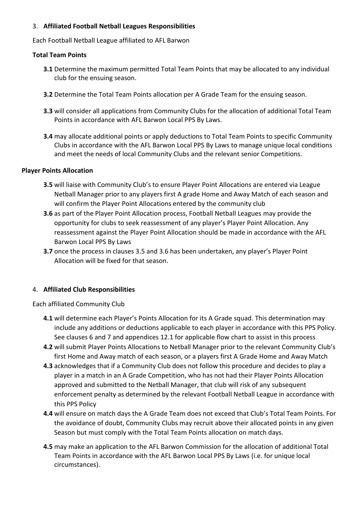#### 3. **Affiliated Football Netball Leagues Responsibilities**

Each Football Netball League affiliated to AFL Barwon

#### **Total Team Points**

- **3.1** Determine the maximum permitted Total Team Points that may be allocated to any individual club for the ensuing season.
- **3.2** Determine the Total Team Points allocation per A Grade Team for the ensuing season.
- **3.3** will consider all applications from Community Clubs for the allocation of additional Total Team Points in accordance with AFL Barwon Local PPS By Laws.
- **3.4** may allocate additional points or apply deductions to Total Team Points to specific Community Clubs in accordance with the AFL Barwon Local PPS By Laws to manage unique local conditions and meet the needs of local Community Clubs and the relevant senior Competitions.

#### **Player Points Allocation**

- **3.5** will liaise with Community Club's to ensure Player Point Allocations are entered via League Netball Manager prior to any players first A grade Home and Away Match of each season and will confirm the Player Point Allocations entered by the community club
- **3.6** as part of the Player Point Allocation process, Football Netball Leagues may provide the opportunity for clubs to seek reassessment of any player's Player Point Allocation. Any reassessment against the Player Point Allocation should be made in accordance with the AFL Barwon Local PPS By Laws
- **3.7** once the process in clauses 3.5 and 3.6 has been undertaken, any player's Player Point Allocation will be fixed for that season.

#### 4. **Affiliated Club Responsibilities**

Each affiliated Community Club

- **4.1** will determine each Player's Points Allocation for its A Grade squad. This determination may include any additions or deductions applicable to each player in accordance with this PPS Policy. See clauses 6 and 7 and appendices 12.1 for applicable flow chart to assist in this process
- **4.2** will submit Player Points Allocations to Netball Manager prior to the relevant Community Club's first Home and Away match of each season, or a players first A Grade Home and Away Match
- **4.3** acknowledges that if a Community Club does not follow this procedure and decides to play a player in a match in an A Grade Competition, who has not had their Player Points Allocation approved and submitted to the Netball Manager, that club will risk of any subsequent enforcement penalty as determined by the relevant Football Netball League in accordance with this PPS Policy
- **4.4** will ensure on match days the A Grade Team does not exceed that Club's Total Team Points. For the avoidance of doubt, Community Clubs may recruit above their allocated points in any given Season but must comply with the Total Team Points allocation on match days.
- **4.5** may make an application to the AFL Barwon Commission for the allocation of additional Total Team Points in accordance with the AFL Barwon Local PPS By Laws (i.e. for unique local circumstances).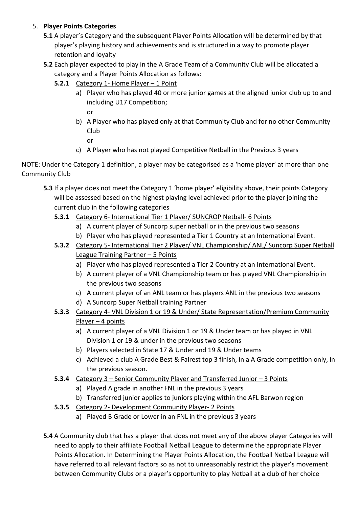## 5. **Player Points Categories**

- **5.1** A player's Category and the subsequent Player Points Allocation will be determined by that player's playing history and achievements and is structured in a way to promote player retention and loyalty
- **5.2** Each player expected to play in the A Grade Team of a Community Club will be allocated a category and a Player Points Allocation as follows:
	- **5.2.1** Category 1- Home Player 1 Point
		- a) Player who has played 40 or more junior games at the aligned junior club up to and including U17 Competition;

or

b) A Player who has played only at that Community Club and for no other Community Club

or

c) A Player who has not played Competitive Netball in the Previous 3 years

NOTE: Under the Category 1 definition, a player may be categorised as a 'home player' at more than one Community Club

- **5.3** If a player does not meet the Category 1 'home player' eligibility above, their points Category will be assessed based on the highest playing level achieved prior to the player joining the current club in the following categories
	- **5.3.1** Category 6- International Tier 1 Player/ SUNCROP Netball- 6 Points
		- a) A current player of Suncorp super netball or in the previous two seasons
		- b) Player who has played represented a Tier 1 Country at an International Event.
	- **5.3.2** Category 5- International Tier 2 Player/ VNL Championship/ ANL/ Suncorp Super Netball League Training Partner – 5 Points
		- a) Player who has played represented a Tier 2 Country at an International Event.
		- b) A current player of a VNL Championship team or has played VNL Championship in the previous two seasons
		- c) A current player of an ANL team or has players ANL in the previous two seasons
		- d) A Suncorp Super Netball training Partner
	- **5.3.3** Category 4- VNL Division 1 or 19 & Under/ State Representation/Premium Community Player – 4 points
		- a) A current player of a VNL Division 1 or 19 & Under team or has played in VNL Division 1 or 19 & under in the previous two seasons
		- b) Players selected in State 17 & Under and 19 & Under teams
		- c) Achieved a club A Grade Best & Fairest top 3 finish, in a A Grade competition only, in the previous season.
	- **5.3.4** Category 3 Senior Community Player and Transferred Junior 3 Points
		- a) Played A grade in another FNL in the previous 3 years
		- b) Transferred junior applies to juniors playing within the AFL Barwon region
	- **5.3.5** Category 2- Development Community Player- 2 Points
		- a) Played B Grade or Lower in an FNL in the previous 3 years
- **5.4** A Community club that has a player that does not meet any of the above player Categories will need to apply to their affiliate Football Netball League to determine the appropriate Player Points Allocation. In Determining the Player Points Allocation, the Football Netball League will have referred to all relevant factors so as not to unreasonably restrict the player's movement between Community Clubs or a player's opportunity to play Netball at a club of her choice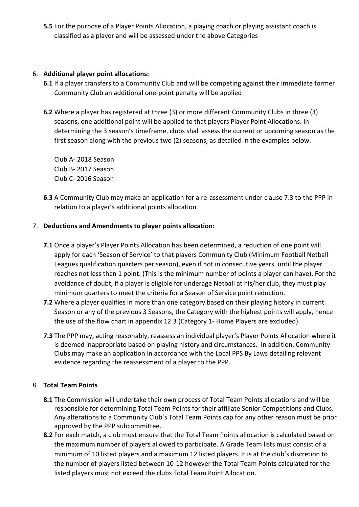**5.5** For the purpose of a Player Points Allocation, a playing coach or playing assistant coach is classified as a player and will be assessed under the above Categories

#### 6. **Additional player point allocations:**

- **6.1** If a player transfers to a Community Club and will be competing against their immediate former Community Club an additional one-point penalty will be applied
- **6.2** Where a player has registered at three (3) or more different Community Clubs in three (3) seasons, one additional point will be applied to that players Player Point Allocations. In determining the 3 season's timeframe, clubs shall assess the current or upcoming season as the first season along with the previous two (2) seasons, as detailed in the examples below.

Club A- 2018 Season Club B- 2017 Season Club C- 2016 Season

**6.3** A Community Club may make an application for a re-assessment under clause 7.3 to the PPP in relation to a player's additional points allocation

### 7. **Deductions and Amendments to player points allocation:**

- **7.1** Once a player's Player Points Allocation has been determined, a reduction of one point will apply for each 'Season of Service' to that players Community Club (Minimum Football Netball Leagues qualification quarters per season), even if not in consecutive years, until the player reaches not less than 1 point. (This is the minimum number of points a player can have). For the avoidance of doubt, if a player is eligible for underage Netball at his/her club, they must play minimum quarters to meet the criteria for a Season of Service point reduction.
- **7.2** Where a player qualifies in more than one category based on their playing history in current Season or any of the previous 3 Seasons, the Category with the highest points will apply, hence the use of the flow chart in appendix 12.3 (Category 1- Home Players are excluded)
- **7.3** The PPP may, acting reasonably, reassess an individual player's Player Points Allocation where it is deemed inappropriate based on playing history and circumstances. In addition, Community Clubs may make an application in accordance with the Local PPS By Laws detailing relevant evidence regarding the reassessment of a player to the PPP.

## 8. **Total Team Points**

- **8.1** The Commission will undertake their own process of Total Team Points allocations and will be responsible for determining Total Team Points for their affiliate Senior Competitions and Clubs. Any alterations to a Community Club's Total Team Points cap for any other reason must be prior approved by the PPP subcommittee.
- **8.2** For each match, a club must ensure that the Total Team Points allocation is calculated based on the maximum number of players allowed to participate. A Grade Team lists must consist of a minimum of 10 listed players and a maximum 12 listed players. It is at the club's discretion to the number of players listed between 10-12 however the Total Team Points calculated for the listed players must not exceed the clubs Total Team Point Allocation.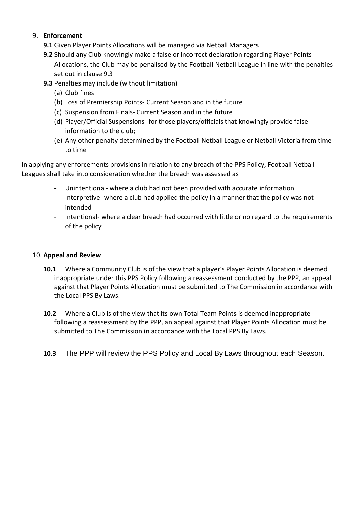### 9. **Enforcement**

- **9.1** Given Player Points Allocations will be managed via Netball Managers
- **9.2** Should any Club knowingly make a false or incorrect declaration regarding Player Points Allocations, the Club may be penalised by the Football Netball League in line with the penalties set out in clause 9.3
- **9.3** Penalties may include (without limitation)
	- (a) Club fines
	- (b) Loss of Premiership Points- Current Season and in the future
	- (c) Suspension from Finals- Current Season and in the future
	- (d) Player/Official Suspensions- for those players/officials that knowingly provide false information to the club;
	- (e) Any other penalty determined by the Football Netball League or Netball Victoria from time to time

In applying any enforcements provisions in relation to any breach of the PPS Policy, Football Netball Leagues shall take into consideration whether the breach was assessed as

- Unintentional- where a club had not been provided with accurate information
- Interpretive- where a club had applied the policy in a manner that the policy was not intended
- Intentional- where a clear breach had occurred with little or no regard to the requirements of the policy

## 10. **Appeal and Review**

- **10.1** Where a Community Club is of the view that a player's Player Points Allocation is deemed inappropriate under this PPS Policy following a reassessment conducted by the PPP, an appeal against that Player Points Allocation must be submitted to The Commission in accordance with the Local PPS By Laws.
- **10.2** Where a Club is of the view that its own Total Team Points is deemed inappropriate following a reassessment by the PPP, an appeal against that Player Points Allocation must be submitted to The Commission in accordance with the Local PPS By Laws.
- **10.3** The PPP will review the PPS Policy and Local By Laws throughout each Season.